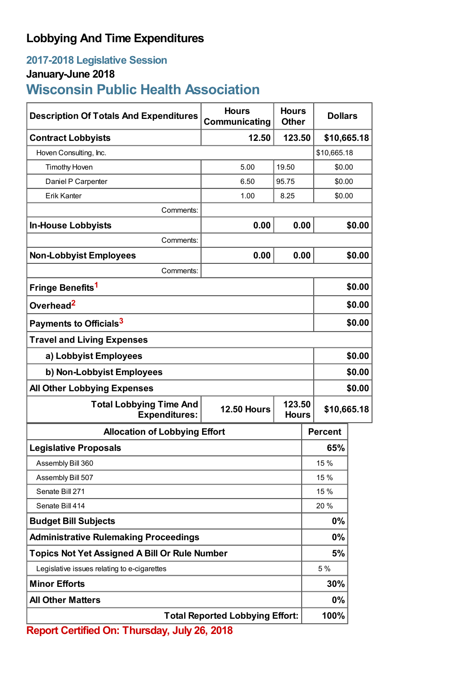## **Lobbying And Time Expenditures**

## **2017-2018 Legislative Session**

## **January-June 2018**

# **Wisconsin Public Health Association**

| <b>Description Of Totals And Expenditures</b>                              | <b>Hours</b><br>Communicating | <b>Hours</b><br><b>Other</b> | <b>Dollars</b> |        |  |
|----------------------------------------------------------------------------|-------------------------------|------------------------------|----------------|--------|--|
| <b>Contract Lobbyists</b>                                                  | 12.50                         | 123.50                       | \$10,665.18    |        |  |
| Hoven Consulting, Inc.                                                     |                               |                              | \$10,665.18    |        |  |
| <b>Timothy Hoven</b>                                                       | 5.00                          | 19.50                        | \$0.00         |        |  |
| Daniel P Carpenter                                                         | 6.50                          | 95.75                        | \$0.00         |        |  |
| <b>Erik Kanter</b>                                                         | 1.00                          | 8.25                         | \$0.00         |        |  |
| Comments:                                                                  |                               |                              |                |        |  |
| <b>In-House Lobbyists</b>                                                  | 0.00                          | 0.00                         |                | \$0.00 |  |
| Comments:                                                                  |                               |                              |                |        |  |
| <b>Non-Lobbyist Employees</b>                                              | 0.00                          | 0.00                         |                | \$0.00 |  |
| Comments:                                                                  |                               |                              |                |        |  |
| Fringe Benefits <sup>1</sup>                                               |                               |                              |                | \$0.00 |  |
| Overhead <sup>2</sup>                                                      |                               |                              |                | \$0.00 |  |
| Payments to Officials <sup>3</sup>                                         |                               |                              |                | \$0.00 |  |
| <b>Travel and Living Expenses</b>                                          |                               |                              |                |        |  |
| a) Lobbyist Employees                                                      |                               |                              | \$0.00         |        |  |
| b) Non-Lobbyist Employees                                                  |                               |                              | \$0.00         |        |  |
| <b>All Other Lobbying Expenses</b>                                         |                               |                              |                | \$0.00 |  |
| <b>Total Lobbying Time And</b><br><b>Expenditures:</b>                     | <b>12.50 Hours</b>            | 123.50<br><b>Hours</b>       | \$10,665.18    |        |  |
| <b>Allocation of Lobbying Effort</b>                                       |                               |                              | <b>Percent</b> |        |  |
| <b>Legislative Proposals</b>                                               |                               |                              | 65%            |        |  |
| Assembly Bill 360                                                          |                               |                              | 15 %           |        |  |
| Assembly Bill 507                                                          |                               |                              | 15 %           |        |  |
| Senate Bill 271                                                            |                               |                              | 15 %           |        |  |
| Senate Bill 414                                                            |                               |                              | 20 %           |        |  |
| <b>Budget Bill Subjects</b>                                                |                               |                              | 0%             |        |  |
| <b>Administrative Rulemaking Proceedings</b>                               |                               |                              | 0%             |        |  |
| <b>Topics Not Yet Assigned A Bill Or Rule Number</b>                       |                               |                              | 5%             |        |  |
| Legislative issues relating to e-cigarettes                                |                               |                              | 5 %            |        |  |
| <b>Minor Efforts</b>                                                       |                               |                              | 30%            |        |  |
| <b>All Other Matters</b>                                                   |                               |                              | 0%             |        |  |
| <b>Total Reported Lobbying Effort:</b><br>LIEL.<br>$2c$ $2040$<br>The mode |                               |                              | 100%           |        |  |

**Report Certified On: Thursday, July 26, 2018**